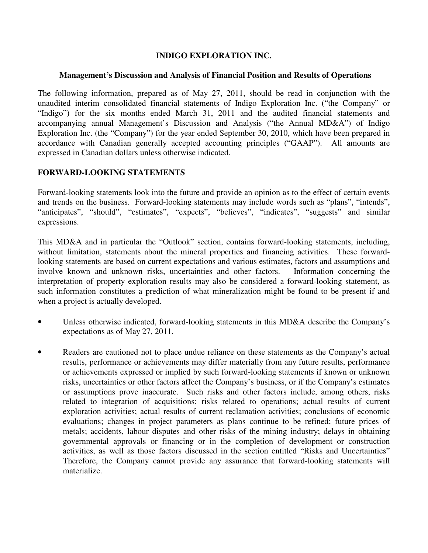## **INDIGO EXPLORATION INC.**

### **Management's Discussion and Analysis of Financial Position and Results of Operations**

The following information, prepared as of May 27, 2011, should be read in conjunction with the unaudited interim consolidated financial statements of Indigo Exploration Inc. ("the Company" or "Indigo") for the six months ended March 31, 2011 and the audited financial statements and accompanying annual Management's Discussion and Analysis ("the Annual MD&A") of Indigo Exploration Inc. (the "Company") for the year ended September 30, 2010, which have been prepared in accordance with Canadian generally accepted accounting principles ("GAAP"). All amounts are expressed in Canadian dollars unless otherwise indicated.

# **FORWARD-LOOKING STATEMENTS**

Forward-looking statements look into the future and provide an opinion as to the effect of certain events and trends on the business. Forward-looking statements may include words such as "plans", "intends", "anticipates", "should", "estimates", "expects", "believes", "indicates", "suggests" and similar expressions.

This MD&A and in particular the "Outlook" section, contains forward-looking statements, including, without limitation, statements about the mineral properties and financing activities. These forwardlooking statements are based on current expectations and various estimates, factors and assumptions and involve known and unknown risks, uncertainties and other factors. Information concerning the interpretation of property exploration results may also be considered a forward-looking statement, as such information constitutes a prediction of what mineralization might be found to be present if and when a project is actually developed.

- Unless otherwise indicated, forward-looking statements in this MD&A describe the Company's expectations as of May 27, 2011.
- Readers are cautioned not to place undue reliance on these statements as the Company's actual results, performance or achievements may differ materially from any future results, performance or achievements expressed or implied by such forward-looking statements if known or unknown risks, uncertainties or other factors affect the Company's business, or if the Company's estimates or assumptions prove inaccurate. Such risks and other factors include, among others, risks related to integration of acquisitions; risks related to operations; actual results of current exploration activities; actual results of current reclamation activities; conclusions of economic evaluations; changes in project parameters as plans continue to be refined; future prices of metals; accidents, labour disputes and other risks of the mining industry; delays in obtaining governmental approvals or financing or in the completion of development or construction activities, as well as those factors discussed in the section entitled "Risks and Uncertainties" Therefore, the Company cannot provide any assurance that forward-looking statements will materialize.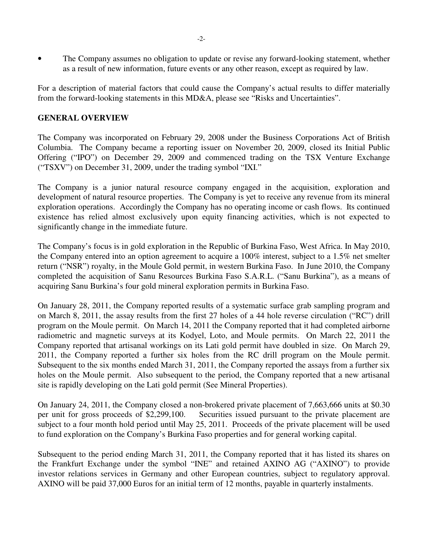• The Company assumes no obligation to update or revise any forward-looking statement, whether as a result of new information, future events or any other reason, except as required by law.

For a description of material factors that could cause the Company's actual results to differ materially from the forward-looking statements in this MD&A, please see "Risks and Uncertainties".

## **GENERAL OVERVIEW**

The Company was incorporated on February 29, 2008 under the Business Corporations Act of British Columbia. The Company became a reporting issuer on November 20, 2009, closed its Initial Public Offering ("IPO") on December 29, 2009 and commenced trading on the TSX Venture Exchange ("TSXV") on December 31, 2009, under the trading symbol "IXI."

The Company is a junior natural resource company engaged in the acquisition, exploration and development of natural resource properties. The Company is yet to receive any revenue from its mineral exploration operations. Accordingly the Company has no operating income or cash flows. Its continued existence has relied almost exclusively upon equity financing activities, which is not expected to significantly change in the immediate future.

The Company's focus is in gold exploration in the Republic of Burkina Faso, West Africa. In May 2010, the Company entered into an option agreement to acquire a 100% interest, subject to a 1.5% net smelter return ("NSR") royalty, in the Moule Gold permit, in western Burkina Faso. In June 2010, the Company completed the acquisition of Sanu Resources Burkina Faso S.A.R.L. ("Sanu Burkina"), as a means of acquiring Sanu Burkina's four gold mineral exploration permits in Burkina Faso.

On January 28, 2011, the Company reported results of a systematic surface grab sampling program and on March 8, 2011, the assay results from the first 27 holes of a 44 hole reverse circulation ("RC") drill program on the Moule permit. On March 14, 2011 the Company reported that it had completed airborne radiometric and magnetic surveys at its Kodyel, Loto, and Moule permits. On March 22, 2011 the Company reported that artisanal workings on its Lati gold permit have doubled in size. On March 29, 2011, the Company reported a further six holes from the RC drill program on the Moule permit. Subsequent to the six months ended March 31, 2011, the Company reported the assays from a further six holes on the Moule permit. Also subsequent to the period, the Company reported that a new artisanal site is rapidly developing on the Lati gold permit (See Mineral Properties).

On January 24, 2011, the Company closed a non-brokered private placement of 7,663,666 units at \$0.30 per unit for gross proceeds of \$2,299,100. Securities issued pursuant to the private placement are subject to a four month hold period until May 25, 2011. Proceeds of the private placement will be used to fund exploration on the Company's Burkina Faso properties and for general working capital.

Subsequent to the period ending March 31, 2011, the Company reported that it has listed its shares on the Frankfurt Exchange under the symbol "INE" and retained AXINO AG ("AXINO") to provide investor relations services in Germany and other European countries, subject to regulatory approval. AXINO will be paid 37,000 Euros for an initial term of 12 months, payable in quarterly instalments.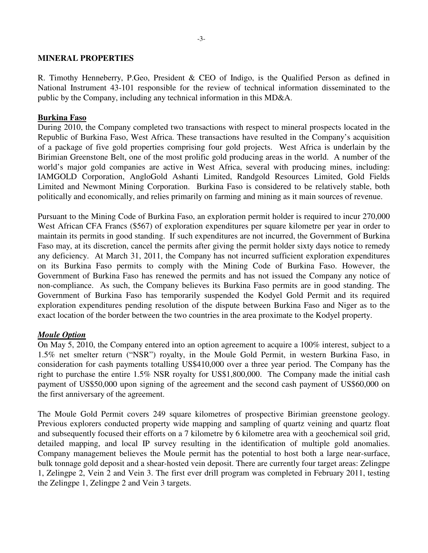### **MINERAL PROPERTIES**

R. Timothy Henneberry, P.Geo, President & CEO of Indigo, is the Qualified Person as defined in National Instrument 43-101 responsible for the review of technical information disseminated to the public by the Company, including any technical information in this MD&A.

### **Burkina Faso**

During 2010, the Company completed two transactions with respect to mineral prospects located in the Republic of Burkina Faso, West Africa. These transactions have resulted in the Company's acquisition of a package of five gold properties comprising four gold projects. West Africa is underlain by the Birimian Greenstone Belt, one of the most prolific gold producing areas in the world. A number of the world's major gold companies are active in West Africa, several with producing mines, including: IAMGOLD Corporation, AngloGold Ashanti Limited, Randgold Resources Limited, Gold Fields Limited and Newmont Mining Corporation. Burkina Faso is considered to be relatively stable, both politically and economically, and relies primarily on farming and mining as it main sources of revenue.

Pursuant to the Mining Code of Burkina Faso, an exploration permit holder is required to incur 270,000 West African CFA Francs (\$567) of exploration expenditures per square kilometre per year in order to maintain its permits in good standing. If such expenditures are not incurred, the Government of Burkina Faso may, at its discretion, cancel the permits after giving the permit holder sixty days notice to remedy any deficiency. At March 31, 2011, the Company has not incurred sufficient exploration expenditures on its Burkina Faso permits to comply with the Mining Code of Burkina Faso. However, the Government of Burkina Faso has renewed the permits and has not issued the Company any notice of non-compliance. As such, the Company believes its Burkina Faso permits are in good standing. The Government of Burkina Faso has temporarily suspended the Kodyel Gold Permit and its required exploration expenditures pending resolution of the dispute between Burkina Faso and Niger as to the exact location of the border between the two countries in the area proximate to the Kodyel property.

### *Moule Option*

On May 5, 2010, the Company entered into an option agreement to acquire a 100% interest, subject to a 1.5% net smelter return ("NSR") royalty, in the Moule Gold Permit, in western Burkina Faso, in consideration for cash payments totalling US\$410,000 over a three year period. The Company has the right to purchase the entire 1.5% NSR royalty for US\$1,800,000. The Company made the initial cash payment of US\$50,000 upon signing of the agreement and the second cash payment of US\$60,000 on the first anniversary of the agreement.

The Moule Gold Permit covers 249 square kilometres of prospective Birimian greenstone geology. Previous explorers conducted property wide mapping and sampling of quartz veining and quartz float and subsequently focused their efforts on a 7 kilometre by 6 kilometre area with a geochemical soil grid, detailed mapping, and local IP survey resulting in the identification of multiple gold anomalies. Company management believes the Moule permit has the potential to host both a large near-surface, bulk tonnage gold deposit and a shear-hosted vein deposit. There are currently four target areas: Zelingpe 1, Zelingpe 2, Vein 2 and Vein 3. The first ever drill program was completed in February 2011, testing the Zelingpe 1, Zelingpe 2 and Vein 3 targets.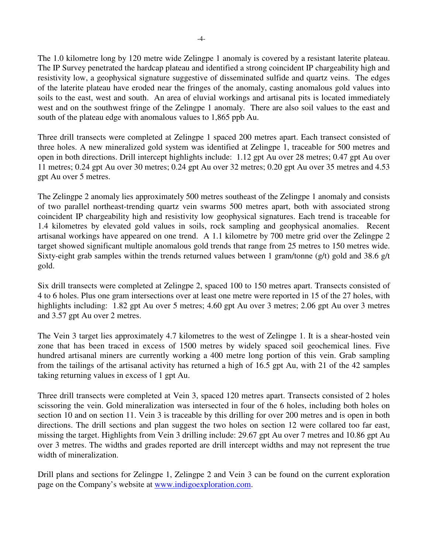The 1.0 kilometre long by 120 metre wide Zelingpe 1 anomaly is covered by a resistant laterite plateau. The IP Survey penetrated the hardcap plateau and identified a strong coincident IP chargeability high and resistivity low, a geophysical signature suggestive of disseminated sulfide and quartz veins. The edges of the laterite plateau have eroded near the fringes of the anomaly, casting anomalous gold values into soils to the east, west and south. An area of eluvial workings and artisanal pits is located immediately west and on the southwest fringe of the Zelingpe 1 anomaly. There are also soil values to the east and south of the plateau edge with anomalous values to 1,865 ppb Au.

Three drill transects were completed at Zelingpe 1 spaced 200 metres apart. Each transect consisted of three holes. A new mineralized gold system was identified at Zelingpe 1, traceable for 500 metres and open in both directions. Drill intercept highlights include: 1.12 gpt Au over 28 metres; 0.47 gpt Au over 11 metres; 0.24 gpt Au over 30 metres; 0.24 gpt Au over 32 metres; 0.20 gpt Au over 35 metres and 4.53 gpt Au over 5 metres.

The Zelingpe 2 anomaly lies approximately 500 metres southeast of the Zelingpe 1 anomaly and consists of two parallel northeast-trending quartz vein swarms 500 metres apart, both with associated strong coincident IP chargeability high and resistivity low geophysical signatures. Each trend is traceable for 1.4 kilometres by elevated gold values in soils, rock sampling and geophysical anomalies. Recent artisanal workings have appeared on one trend. A 1.1 kilometre by 700 metre grid over the Zelingpe 2 target showed significant multiple anomalous gold trends that range from 25 metres to 150 metres wide. Sixty-eight grab samples within the trends returned values between 1 gram/tonne (g/t) gold and 38.6 g/t gold.

Six drill transects were completed at Zelingpe 2, spaced 100 to 150 metres apart. Transects consisted of 4 to 6 holes. Plus one gram intersections over at least one metre were reported in 15 of the 27 holes, with highlights including: 1.82 gpt Au over 5 metres; 4.60 gpt Au over 3 metres; 2.06 gpt Au over 3 metres and 3.57 gpt Au over 2 metres.

The Vein 3 target lies approximately 4.7 kilometres to the west of Zelingpe 1. It is a shear-hosted vein zone that has been traced in excess of 1500 metres by widely spaced soil geochemical lines. Five hundred artisanal miners are currently working a 400 metre long portion of this vein. Grab sampling from the tailings of the artisanal activity has returned a high of 16.5 gpt Au, with 21 of the 42 samples taking returning values in excess of 1 gpt Au.

Three drill transects were completed at Vein 3, spaced 120 metres apart. Transects consisted of 2 holes scissoring the vein. Gold mineralization was intersected in four of the 6 holes, including both holes on section 10 and on section 11. Vein 3 is traceable by this drilling for over 200 metres and is open in both directions. The drill sections and plan suggest the two holes on section 12 were collared too far east, missing the target. Highlights from Vein 3 drilling include: 29.67 gpt Au over 7 metres and 10.86 gpt Au over 3 metres. The widths and grades reported are drill intercept widths and may not represent the true width of mineralization.

Drill plans and sections for Zelingpe 1, Zelingpe 2 and Vein 3 can be found on the current exploration page on the Company's website at www.indigoexploration.com.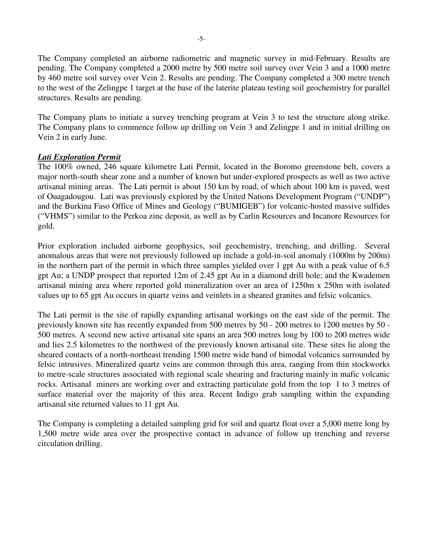The Company completed an airborne radiometric and magnetic survey in mid-February. Results are pending. The Company completed a 2000 metre by 500 metre soil survey over Vein 3 and a 1000 metre by 460 metre soil survey over Vein 2. Results are pending. The Company completed a 300 metre trench to the west of the Zelingpe 1 target at the base of the laterite plateau testing soil geochemistry for parallel structures. Results are pending.

The Company plans to initiate a survey trenching program at Vein 3 to test the structure along strike. The Company plans to commence follow up drilling on Vein 3 and Zelingpe 1 and in initial drilling on Vein 2 in early June.

# *Lati Exploration Permit*

The 100% owned, 246 square kilometre Lati Permit, located in the Boromo greenstone belt, covers a major north-south shear zone and a number of known but under-explored prospects as well as two active artisanal mining areas. The Lati permit is about 150 km by road, of which about 100 km is paved, west of Ouagadougou. Lati was previously explored by the United Nations Development Program ("UNDP") and the Burkina Faso Office of Mines and Geology ("BUMIGEB") for volcanic-hosted massive sulfides ("VHMS") similar to the Perkoa zinc deposit, as well as by Carlin Resources and Incanore Resources for gold.

Prior exploration included airborne geophysics, soil geochemistry, trenching, and drilling. Several anomalous areas that were not previously followed up include a gold-in-soil anomaly (1000m by 200m) in the northern part of the permit in which three samples yielded over 1 gpt Au with a peak value of 6.5 gpt Au; a UNDP prospect that reported 12m of 2.45 gpt Au in a diamond drill hole; and the Kwademen artisanal mining area where reported gold mineralization over an area of 1250m x 250m with isolated values up to 65 gpt Au occurs in quartz veins and veinlets in a sheared granites and felsic volcanics.

The Lati permit is the site of rapidly expanding artisanal workings on the east side of the permit. The previously known site has recently expanded from 500 metres by 50 - 200 metres to 1200 metres by 50 - 500 metres. A second new active artisanal site spans an area 500 metres long by 100 to 200 metres wide and lies 2.5 kilometres to the northwest of the previously known artisanal site. These sites lie along the sheared contacts of a north-northeast trending 1500 metre wide band of bimodal volcanics surrounded by felsic intrusives. Mineralized quartz veins are common through this area, ranging from thin stockworks to metre-scale structures associated with regional scale shearing and fracturing mainly in mafic volcanic rocks. Artisanal miners are working over and extracting particulate gold from the top 1 to 3 metres of surface material over the majority of this area. Recent Indigo grab sampling within the expanding artisanal site returned values to 11 gpt Au.

The Company is completing a detailed sampling grid for soil and quartz float over a 5,000 metre long by 1,500 metre wide area over the prospective contact in advance of follow up trenching and reverse circulation drilling.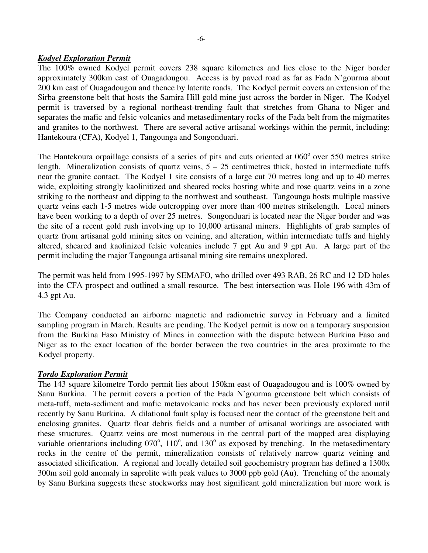## *Kodyel Exploration Permit*

The 100% owned Kodyel permit covers 238 square kilometres and lies close to the Niger border approximately 300km east of Ouagadougou. Access is by paved road as far as Fada N'gourma about 200 km east of Ouagadougou and thence by laterite roads. The Kodyel permit covers an extension of the Sirba greenstone belt that hosts the Samira Hill gold mine just across the border in Niger. The Kodyel permit is traversed by a regional northeast-trending fault that stretches from Ghana to Niger and separates the mafic and felsic volcanics and metasedimentary rocks of the Fada belt from the migmatites and granites to the northwest. There are several active artisanal workings within the permit, including: Hantekoura (CFA), Kodyel 1, Tangounga and Songonduari.

The Hantekoura orpaillage consists of a series of pits and cuts oriented at 060° over 550 metres strike length. Mineralization consists of quartz veins,  $5 - 25$  centimetres thick, hosted in intermediate tuffs near the granite contact. The Kodyel 1 site consists of a large cut 70 metres long and up to 40 metres wide, exploiting strongly kaolinitized and sheared rocks hosting white and rose quartz veins in a zone striking to the northeast and dipping to the northwest and southeast. Tangounga hosts multiple massive quartz veins each 1-5 metres wide outcropping over more than 400 metres strikelength. Local miners have been working to a depth of over 25 metres. Songonduari is located near the Niger border and was the site of a recent gold rush involving up to 10,000 artisanal miners. Highlights of grab samples of quartz from artisanal gold mining sites on veining, and alteration, within intermediate tuffs and highly altered, sheared and kaolinized felsic volcanics include 7 gpt Au and 9 gpt Au. A large part of the permit including the major Tangounga artisanal mining site remains unexplored.

The permit was held from 1995-1997 by SEMAFO, who drilled over 493 RAB, 26 RC and 12 DD holes into the CFA prospect and outlined a small resource. The best intersection was Hole 196 with 43m of 4.3 gpt Au.

The Company conducted an airborne magnetic and radiometric survey in February and a limited sampling program in March. Results are pending. The Kodyel permit is now on a temporary suspension from the Burkina Faso Ministry of Mines in connection with the dispute between Burkina Faso and Niger as to the exact location of the border between the two countries in the area proximate to the Kodyel property.

### *Tordo Exploration Permit*

The 143 square kilometre Tordo permit lies about 150km east of Ouagadougou and is 100% owned by Sanu Burkina. The permit covers a portion of the Fada N'gourma greenstone belt which consists of meta-tuff, meta-sediment and mafic metavolcanic rocks and has never been previously explored until recently by Sanu Burkina. A dilational fault splay is focused near the contact of the greenstone belt and enclosing granites. Quartz float debris fields and a number of artisanal workings are associated with these structures. Quartz veins are most numerous in the central part of the mapped area displaying variable orientations including  $070^{\circ}$ ,  $110^{\circ}$ , and  $130^{\circ}$  as exposed by trenching. In the metasedimentary rocks in the centre of the permit, mineralization consists of relatively narrow quartz veining and associated silicification. A regional and locally detailed soil geochemistry program has defined a 1300x 300m soil gold anomaly in saprolite with peak values to 3000 ppb gold (Au). Trenching of the anomaly by Sanu Burkina suggests these stockworks may host significant gold mineralization but more work is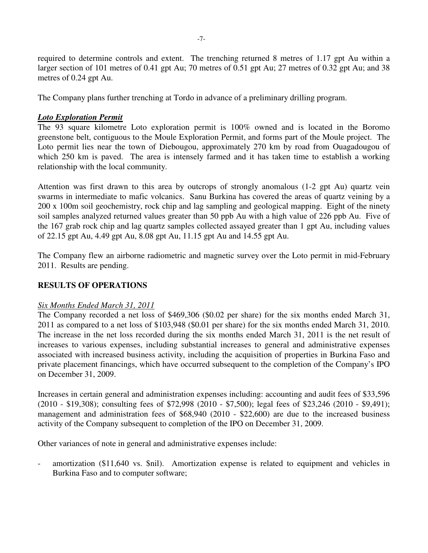required to determine controls and extent. The trenching returned 8 metres of 1.17 gpt Au within a larger section of 101 metres of 0.41 gpt Au; 70 metres of 0.51 gpt Au; 27 metres of 0.32 gpt Au; and 38 metres of 0.24 gpt Au.

The Company plans further trenching at Tordo in advance of a preliminary drilling program.

# *Loto Exploration Permit*

The 93 square kilometre Loto exploration permit is 100% owned and is located in the Boromo greenstone belt, contiguous to the Moule Exploration Permit, and forms part of the Moule project. The Loto permit lies near the town of Diebougou, approximately 270 km by road from Ouagadougou of which 250 km is paved. The area is intensely farmed and it has taken time to establish a working relationship with the local community.

Attention was first drawn to this area by outcrops of strongly anomalous (1-2 gpt Au) quartz vein swarms in intermediate to mafic volcanics. Sanu Burkina has covered the areas of quartz veining by a 200 x 100m soil geochemistry, rock chip and lag sampling and geological mapping. Eight of the ninety soil samples analyzed returned values greater than 50 ppb Au with a high value of 226 ppb Au. Five of the 167 grab rock chip and lag quartz samples collected assayed greater than 1 gpt Au, including values of 22.15 gpt Au, 4.49 gpt Au, 8.08 gpt Au, 11.15 gpt Au and 14.55 gpt Au.

The Company flew an airborne radiometric and magnetic survey over the Loto permit in mid-February 2011. Results are pending.

### **RESULTS OF OPERATIONS**

### *Six Months Ended March 31, 2011*

The Company recorded a net loss of \$469,306 (\$0.02 per share) for the six months ended March 31, 2011 as compared to a net loss of \$103,948 (\$0.01 per share) for the six months ended March 31, 2010. The increase in the net loss recorded during the six months ended March 31, 2011 is the net result of increases to various expenses, including substantial increases to general and administrative expenses associated with increased business activity, including the acquisition of properties in Burkina Faso and private placement financings, which have occurred subsequent to the completion of the Company's IPO on December 31, 2009.

Increases in certain general and administration expenses including: accounting and audit fees of \$33,596 (2010 - \$19,308); consulting fees of \$72,998 (2010 - \$7,500); legal fees of \$23,246 (2010 - \$9,491); management and administration fees of \$68,940 (2010 - \$22,600) are due to the increased business activity of the Company subsequent to completion of the IPO on December 31, 2009.

Other variances of note in general and administrative expenses include:

amortization (\$11,640 vs. \$nil). Amortization expense is related to equipment and vehicles in Burkina Faso and to computer software;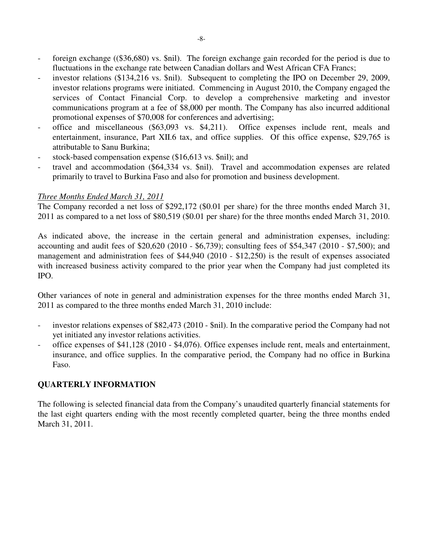- foreign exchange ((\$36,680) vs. \$nil). The foreign exchange gain recorded for the period is due to fluctuations in the exchange rate between Canadian dollars and West African CFA Francs;
- investor relations (\$134,216 vs. \$nil). Subsequent to completing the IPO on December 29, 2009, investor relations programs were initiated. Commencing in August 2010, the Company engaged the services of Contact Financial Corp. to develop a comprehensive marketing and investor communications program at a fee of \$8,000 per month. The Company has also incurred additional promotional expenses of \$70,008 for conferences and advertising;
- office and miscellaneous (\$63,093 vs. \$4,211). Office expenses include rent, meals and entertainment, insurance, Part XII.6 tax, and office supplies. Of this office expense, \$29,765 is attributable to Sanu Burkina;
- stock-based compensation expense (\$16,613 vs. \$nil); and
- travel and accommodation (\$64,334 vs. \$nil). Travel and accommodation expenses are related primarily to travel to Burkina Faso and also for promotion and business development.

### *Three Months Ended March 31, 2011*

The Company recorded a net loss of \$292,172 (\$0.01 per share) for the three months ended March 31, 2011 as compared to a net loss of \$80,519 (\$0.01 per share) for the three months ended March 31, 2010.

As indicated above, the increase in the certain general and administration expenses, including: accounting and audit fees of \$20,620 (2010 - \$6,739); consulting fees of \$54,347 (2010 - \$7,500); and management and administration fees of \$44,940 (2010 - \$12,250) is the result of expenses associated with increased business activity compared to the prior year when the Company had just completed its IPO.

Other variances of note in general and administration expenses for the three months ended March 31, 2011 as compared to the three months ended March 31, 2010 include:

- investor relations expenses of \$82,473 (2010 \$nil). In the comparative period the Company had not yet initiated any investor relations activities.
- office expenses of \$41,128 (2010 \$4,076). Office expenses include rent, meals and entertainment, insurance, and office supplies. In the comparative period, the Company had no office in Burkina Faso.

# **QUARTERLY INFORMATION**

The following is selected financial data from the Company's unaudited quarterly financial statements for the last eight quarters ending with the most recently completed quarter, being the three months ended March 31, 2011.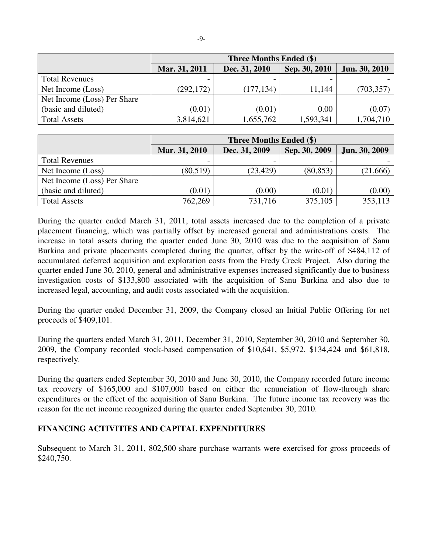|                             | <b>Three Months Ended (\$)</b> |               |               |               |  |  |
|-----------------------------|--------------------------------|---------------|---------------|---------------|--|--|
|                             | Mar. 31, 2011                  | Dec. 31, 2010 | Sep. 30, 2010 | Jun. 30, 2010 |  |  |
| <b>Total Revenues</b>       |                                |               |               |               |  |  |
| Net Income (Loss)           | (292, 172)                     | (177, 134)    | 11,144        | (703, 357)    |  |  |
| Net Income (Loss) Per Share |                                |               |               |               |  |  |
| (basic and diluted)         | (0.01)                         | (0.01)        | 0.00          | (0.07)        |  |  |
| <b>Total Assets</b>         | 3,814,621                      | 1,655,762     | 1,593,341     | 1,704,710     |  |  |

|                             | <b>Three Months Ended (\$)</b> |               |               |               |  |  |
|-----------------------------|--------------------------------|---------------|---------------|---------------|--|--|
|                             | Mar. 31, 2010                  | Dec. 31, 2009 | Sep. 30, 2009 | Jun. 30, 2009 |  |  |
| <b>Total Revenues</b>       |                                |               |               |               |  |  |
| Net Income (Loss)           | (80, 519)                      | (23, 429)     | (80, 853)     | (21,666)      |  |  |
| Net Income (Loss) Per Share |                                |               |               |               |  |  |
| (basic and diluted)         | (0.01)                         | (0.00)        | (0.01)        | (0.00)        |  |  |
| <b>Total Assets</b>         | 762,269                        | 731,716       | 375,105       | 353,113       |  |  |

During the quarter ended March 31, 2011, total assets increased due to the completion of a private placement financing, which was partially offset by increased general and administrations costs. The increase in total assets during the quarter ended June 30, 2010 was due to the acquisition of Sanu Burkina and private placements completed during the quarter, offset by the write-off of \$484,112 of accumulated deferred acquisition and exploration costs from the Fredy Creek Project. Also during the quarter ended June 30, 2010, general and administrative expenses increased significantly due to business investigation costs of \$133,800 associated with the acquisition of Sanu Burkina and also due to increased legal, accounting, and audit costs associated with the acquisition.

During the quarter ended December 31, 2009, the Company closed an Initial Public Offering for net proceeds of \$409,101.

During the quarters ended March 31, 2011, December 31, 2010, September 30, 2010 and September 30, 2009, the Company recorded stock-based compensation of \$10,641, \$5,972, \$134,424 and \$61,818, respectively.

During the quarters ended September 30, 2010 and June 30, 2010, the Company recorded future income tax recovery of \$165,000 and \$107,000 based on either the renunciation of flow-through share expenditures or the effect of the acquisition of Sanu Burkina. The future income tax recovery was the reason for the net income recognized during the quarter ended September 30, 2010.

# **FINANCING ACTIVITIES AND CAPITAL EXPENDITURES**

Subsequent to March 31, 2011, 802,500 share purchase warrants were exercised for gross proceeds of \$240,750.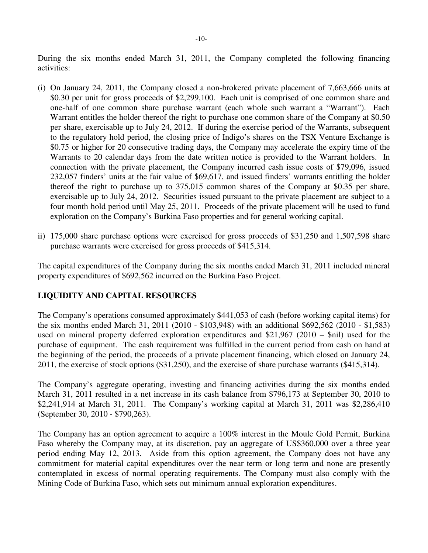During the six months ended March 31, 2011, the Company completed the following financing activities:

- (i) On January 24, 2011, the Company closed a non-brokered private placement of 7,663,666 units at \$0.30 per unit for gross proceeds of \$2,299,100. Each unit is comprised of one common share and one-half of one common share purchase warrant (each whole such warrant a "Warrant"). Each Warrant entitles the holder thereof the right to purchase one common share of the Company at \$0.50 per share, exercisable up to July 24, 2012. If during the exercise period of the Warrants, subsequent to the regulatory hold period, the closing price of Indigo's shares on the TSX Venture Exchange is \$0.75 or higher for 20 consecutive trading days, the Company may accelerate the expiry time of the Warrants to 20 calendar days from the date written notice is provided to the Warrant holders. In connection with the private placement, the Company incurred cash issue costs of \$79,096, issued 232,057 finders' units at the fair value of \$69,617, and issued finders' warrants entitling the holder thereof the right to purchase up to 375,015 common shares of the Company at \$0.35 per share, exercisable up to July 24, 2012. Securities issued pursuant to the private placement are subject to a four month hold period until May 25, 2011. Proceeds of the private placement will be used to fund exploration on the Company's Burkina Faso properties and for general working capital.
- ii) 175,000 share purchase options were exercised for gross proceeds of \$31,250 and 1,507,598 share purchase warrants were exercised for gross proceeds of \$415,314.

The capital expenditures of the Company during the six months ended March 31, 2011 included mineral property expenditures of \$692,562 incurred on the Burkina Faso Project.

# **LIQUIDITY AND CAPITAL RESOURCES**

The Company's operations consumed approximately \$441,053 of cash (before working capital items) for the six months ended March 31, 2011 (2010 - \$103,948) with an additional \$692,562 (2010 - \$1,583) used on mineral property deferred exploration expenditures and \$21,967 (2010 – \$nil) used for the purchase of equipment. The cash requirement was fulfilled in the current period from cash on hand at the beginning of the period, the proceeds of a private placement financing, which closed on January 24, 2011, the exercise of stock options (\$31,250), and the exercise of share purchase warrants (\$415,314).

The Company's aggregate operating, investing and financing activities during the six months ended March 31, 2011 resulted in a net increase in its cash balance from \$796,173 at September 30, 2010 to \$2,241,914 at March 31, 2011. The Company's working capital at March 31, 2011 was \$2,286,410 (September 30, 2010 - \$790,263).

The Company has an option agreement to acquire a 100% interest in the Moule Gold Permit, Burkina Faso whereby the Company may, at its discretion, pay an aggregate of US\$360,000 over a three year period ending May 12, 2013. Aside from this option agreement, the Company does not have any commitment for material capital expenditures over the near term or long term and none are presently contemplated in excess of normal operating requirements. The Company must also comply with the Mining Code of Burkina Faso, which sets out minimum annual exploration expenditures.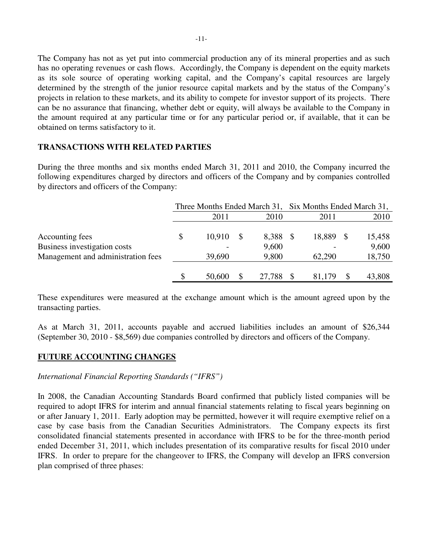The Company has not as yet put into commercial production any of its mineral properties and as such has no operating revenues or cash flows. Accordingly, the Company is dependent on the equity markets as its sole source of operating working capital, and the Company's capital resources are largely determined by the strength of the junior resource capital markets and by the status of the Company's projects in relation to these markets, and its ability to compete for investor support of its projects. There can be no assurance that financing, whether debt or equity, will always be available to the Company in the amount required at any particular time or for any particular period or, if available, that it can be obtained on terms satisfactory to it.

## **TRANSACTIONS WITH RELATED PARTIES**

During the three months and six months ended March 31, 2011 and 2010, the Company incurred the following expenditures charged by directors and officers of the Company and by companies controlled by directors and officers of the Company:

|                                                 | Three Months Ended March 31, Six Months Ended March 31, |        |                |  |        |  |                 |
|-------------------------------------------------|---------------------------------------------------------|--------|----------------|--|--------|--|-----------------|
|                                                 |                                                         | 2011   | 2010           |  | 2011   |  | 2010            |
| Accounting fees<br>Business investigation costs | \$                                                      | 10,910 | 8,388<br>9,600 |  | 18,889 |  | 15,458<br>9,600 |
| Management and administration fees              |                                                         | 39,690 | 9,800          |  | 62,290 |  | 18,750          |
|                                                 | \$                                                      | 50,600 | 27,788         |  | 81.179 |  | 43,808          |

These expenditures were measured at the exchange amount which is the amount agreed upon by the transacting parties.

As at March 31, 2011, accounts payable and accrued liabilities includes an amount of \$26,344 (September 30, 2010 - \$8,569) due companies controlled by directors and officers of the Company.

# **FUTURE ACCOUNTING CHANGES**

*International Financial Reporting Standards ("IFRS")* 

In 2008, the Canadian Accounting Standards Board confirmed that publicly listed companies will be required to adopt IFRS for interim and annual financial statements relating to fiscal years beginning on or after January 1, 2011. Early adoption may be permitted, however it will require exemptive relief on a case by case basis from the Canadian Securities Administrators. The Company expects its first consolidated financial statements presented in accordance with IFRS to be for the three-month period ended December 31, 2011, which includes presentation of its comparative results for fiscal 2010 under IFRS. In order to prepare for the changeover to IFRS, the Company will develop an IFRS conversion plan comprised of three phases: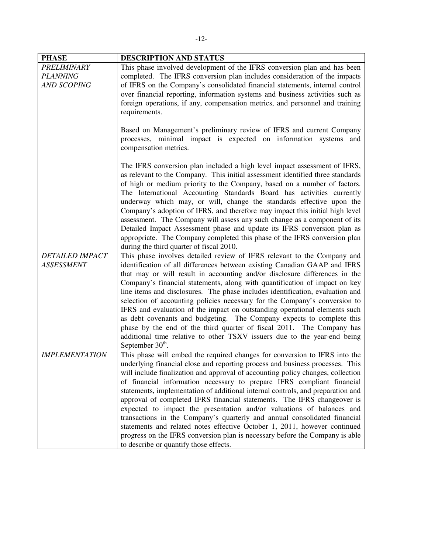| <b>PHASE</b>           | DESCRIPTION AND STATUS                                                                                                                        |
|------------------------|-----------------------------------------------------------------------------------------------------------------------------------------------|
| <b>PRELIMINARY</b>     | This phase involved development of the IFRS conversion plan and has been                                                                      |
| <b>PLANNING</b>        | completed. The IFRS conversion plan includes consideration of the impacts                                                                     |
| <b>AND SCOPING</b>     | of IFRS on the Company's consolidated financial statements, internal control                                                                  |
|                        | over financial reporting, information systems and business activities such as                                                                 |
|                        | foreign operations, if any, compensation metrics, and personnel and training                                                                  |
|                        | requirements.                                                                                                                                 |
|                        |                                                                                                                                               |
|                        | Based on Management's preliminary review of IFRS and current Company                                                                          |
|                        | processes, minimal impact is expected on information systems and                                                                              |
|                        | compensation metrics.                                                                                                                         |
|                        |                                                                                                                                               |
|                        | The IFRS conversion plan included a high level impact assessment of IFRS,                                                                     |
|                        | as relevant to the Company. This initial assessment identified three standards                                                                |
|                        | of high or medium priority to the Company, based on a number of factors.                                                                      |
|                        | The International Accounting Standards Board has activities currently<br>underway which may, or will, change the standards effective upon the |
|                        | Company's adoption of IFRS, and therefore may impact this initial high level                                                                  |
|                        | assessment. The Company will assess any such change as a component of its                                                                     |
|                        | Detailed Impact Assessment phase and update its IFRS conversion plan as                                                                       |
|                        | appropriate. The Company completed this phase of the IFRS conversion plan                                                                     |
|                        | during the third quarter of fiscal 2010.                                                                                                      |
| <b>DETAILED IMPACT</b> | This phase involves detailed review of IFRS relevant to the Company and                                                                       |
| <b>ASSESSMENT</b>      | identification of all differences between existing Canadian GAAP and IFRS                                                                     |
|                        | that may or will result in accounting and/or disclosure differences in the                                                                    |
|                        | Company's financial statements, along with quantification of impact on key                                                                    |
|                        | line items and disclosures. The phase includes identification, evaluation and                                                                 |
|                        | selection of accounting policies necessary for the Company's conversion to                                                                    |
|                        | IFRS and evaluation of the impact on outstanding operational elements such                                                                    |
|                        | as debt covenants and budgeting. The Company expects to complete this                                                                         |
|                        | phase by the end of the third quarter of fiscal 2011. The Company has                                                                         |
|                        | additional time relative to other TSXV issuers due to the year-end being                                                                      |
|                        | September $30th$ .                                                                                                                            |
| <b>IMPLEMENTATION</b>  | This phase will embed the required changes for conversion to IFRS into the                                                                    |
|                        | underlying financial close and reporting process and business processes. This                                                                 |
|                        | will include finalization and approval of accounting policy changes, collection                                                               |
|                        | of financial information necessary to prepare IFRS compliant financial                                                                        |
|                        | statements, implementation of additional internal controls, and preparation and                                                               |
|                        | approval of completed IFRS financial statements. The IFRS changeover is                                                                       |
|                        | expected to impact the presentation and/or valuations of balances and                                                                         |
|                        | transactions in the Company's quarterly and annual consolidated financial                                                                     |
|                        | statements and related notes effective October 1, 2011, however continued                                                                     |
|                        | progress on the IFRS conversion plan is necessary before the Company is able                                                                  |
|                        | to describe or quantify those effects.                                                                                                        |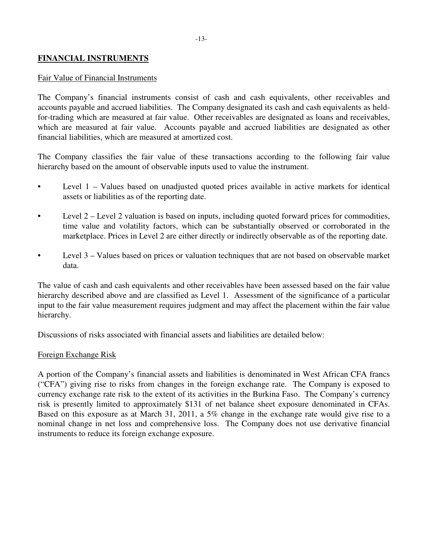## **FINANCIAL INSTRUMENTS**

### Fair Value of Financial Instruments

The Company's financial instruments consist of cash and cash equivalents, other receivables and accounts payable and accrued liabilities. The Company designated its cash and cash equivalents as heldfor-trading which are measured at fair value. Other receivables are designated as loans and receivables, which are measured at fair value. Accounts payable and accrued liabilities are designated as other financial liabilities, which are measured at amortized cost.

The Company classifies the fair value of these transactions according to the following fair value hierarchy based on the amount of observable inputs used to value the instrument.

- Level 1 Values based on unadjusted quoted prices available in active markets for identical assets or liabilities as of the reporting date.
- Level 2 Level 2 valuation is based on inputs, including quoted forward prices for commodities, time value and volatility factors, which can be substantially observed or corroborated in the marketplace. Prices in Level 2 are either directly or indirectly observable as of the reporting date.
- Level 3 Values based on prices or valuation techniques that are not based on observable market data.

The value of cash and cash equivalents and other receivables have been assessed based on the fair value hierarchy described above and are classified as Level 1. Assessment of the significance of a particular input to the fair value measurement requires judgment and may affect the placement within the fair value hierarchy.

Discussions of risks associated with financial assets and liabilities are detailed below:

#### Foreign Exchange Risk

A portion of the Company's financial assets and liabilities is denominated in West African CFA francs ("CFA") giving rise to risks from changes in the foreign exchange rate. The Company is exposed to currency exchange rate risk to the extent of its activities in the Burkina Faso. The Company's currency risk is presently limited to approximately \$131 of net balance sheet exposure denominated in CFAs. Based on this exposure as at March 31, 2011, a 5% change in the exchange rate would give rise to a nominal change in net loss and comprehensive loss. The Company does not use derivative financial instruments to reduce its foreign exchange exposure.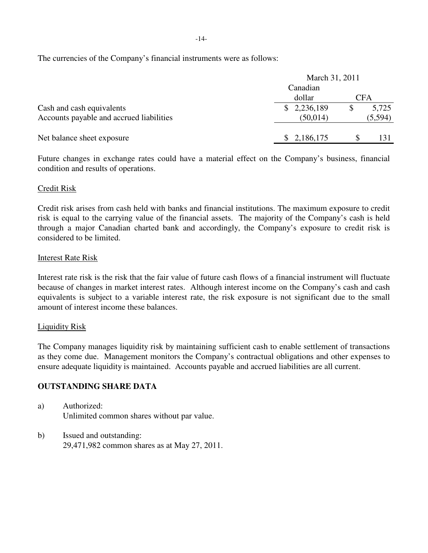The currencies of the Company's financial instruments were as follows:

|                                          | March 31, 2011                   |              |         |
|------------------------------------------|----------------------------------|--------------|---------|
|                                          | Canadian<br><b>CFA</b><br>dollar |              |         |
|                                          |                                  |              |         |
| Cash and cash equivalents                | \$2,236,189                      | $\mathbb{S}$ | 5,725   |
| Accounts payable and accrued liabilities | (50,014)                         |              | (5,594) |
|                                          |                                  |              |         |
| Net balance sheet exposure               | \$2,186,175                      |              | 131     |

Future changes in exchange rates could have a material effect on the Company's business, financial condition and results of operations.

## Credit Risk

Credit risk arises from cash held with banks and financial institutions. The maximum exposure to credit risk is equal to the carrying value of the financial assets. The majority of the Company's cash is held through a major Canadian charted bank and accordingly, the Company's exposure to credit risk is considered to be limited.

### Interest Rate Risk

Interest rate risk is the risk that the fair value of future cash flows of a financial instrument will fluctuate because of changes in market interest rates. Although interest income on the Company's cash and cash equivalents is subject to a variable interest rate, the risk exposure is not significant due to the small amount of interest income these balances.

### Liquidity Risk

The Company manages liquidity risk by maintaining sufficient cash to enable settlement of transactions as they come due. Management monitors the Company's contractual obligations and other expenses to ensure adequate liquidity is maintained. Accounts payable and accrued liabilities are all current.

# **OUTSTANDING SHARE DATA**

- a) Authorized: Unlimited common shares without par value.
- b) Issued and outstanding: 29,471,982 common shares as at May 27, 2011.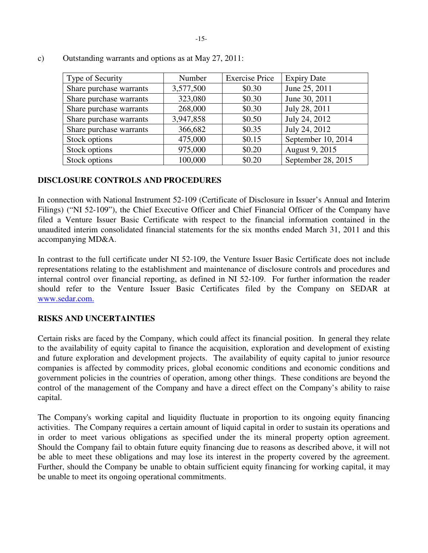| Type of Security        | Number    | <b>Exercise Price</b> | <b>Expiry Date</b> |
|-------------------------|-----------|-----------------------|--------------------|
| Share purchase warrants | 3,577,500 | \$0.30                | June 25, 2011      |
| Share purchase warrants | 323,080   | \$0.30                | June 30, 2011      |
| Share purchase warrants | 268,000   | \$0.30                | July 28, 2011      |
| Share purchase warrants | 3,947,858 | \$0.50                | July 24, 2012      |
| Share purchase warrants | 366,682   | \$0.35                | July 24, 2012      |
| Stock options           | 475,000   | \$0.15                | September 10, 2014 |
| Stock options           | 975,000   | \$0.20                | August 9, 2015     |
| Stock options           | 100,000   | \$0.20                | September 28, 2015 |

c) Outstanding warrants and options as at May 27, 2011:

# **DISCLOSURE CONTROLS AND PROCEDURES**

In connection with National Instrument 52-109 (Certificate of Disclosure in Issuer's Annual and Interim Filings) ("NI 52-109"), the Chief Executive Officer and Chief Financial Officer of the Company have filed a Venture Issuer Basic Certificate with respect to the financial information contained in the unaudited interim consolidated financial statements for the six months ended March 31, 2011 and this accompanying MD&A.

In contrast to the full certificate under NI 52-109, the Venture Issuer Basic Certificate does not include representations relating to the establishment and maintenance of disclosure controls and procedures and internal control over financial reporting, as defined in NI 52-109. For further information the reader should refer to the Venture Issuer Basic Certificates filed by the Company on SEDAR at www.sedar.com.

# **RISKS AND UNCERTAINTIES**

Certain risks are faced by the Company, which could affect its financial position. In general they relate to the availability of equity capital to finance the acquisition, exploration and development of existing and future exploration and development projects. The availability of equity capital to junior resource companies is affected by commodity prices, global economic conditions and economic conditions and government policies in the countries of operation, among other things. These conditions are beyond the control of the management of the Company and have a direct effect on the Company's ability to raise capital.

The Company's working capital and liquidity fluctuate in proportion to its ongoing equity financing activities. The Company requires a certain amount of liquid capital in order to sustain its operations and in order to meet various obligations as specified under the its mineral property option agreement. Should the Company fail to obtain future equity financing due to reasons as described above, it will not be able to meet these obligations and may lose its interest in the property covered by the agreement. Further, should the Company be unable to obtain sufficient equity financing for working capital, it may be unable to meet its ongoing operational commitments.